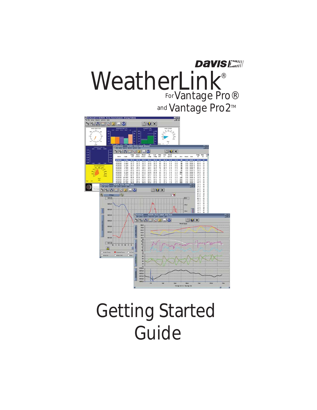



# Getting Started Guide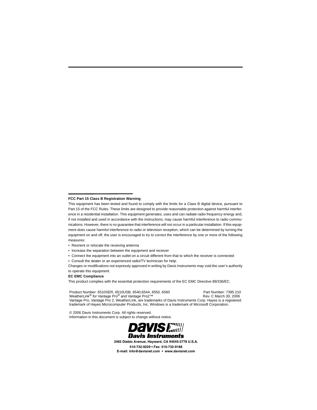#### **FCC Part 15 Class B Registration Warning**

This equipment has been tested and found to comply with the limits for a Class B digital device, pursuant to Part 15 of the FCC Rules. These limits are designed to provide reasonable protection against harmful interference in a residential installation. This equipment generates, uses and can radiate radio frequency energy and, if not installed and used in accordance with the instructions, may cause harmful interference to radio communications. However, there is no guarantee that interference will not occur in a particular installation. If this equipment does cause harmful interference to radio or television reception, which can be determined by turning the equipment on and off, the user is encouraged to try to correct the interference by one or more of the following measures:

• Reorient or relocate the receiving antenna

• Increase the separation between the equipment and receiver

• Connect the equipment into an outlet on a circuit different from that to which the receiver is connected

• Consult the dealer or an experienced radio/TV technician for help.

Changes or modifications not expressly approved in writing by Davis Instruments may void the user's authority to operate this equipment.

#### **EC EMC Compliance**

This product complies with the essential protection requirements of the EC EMC Directive 89/336/EC.

Product Number: 6510SER, 6510USB, 6540,6544, 6550, 6560 Part Number: 7395.210<br>WeatherLink® for Vantage Pro® and Vantage Pro2™ Part Processes Rev. C March 30, 2006 WeatherLink<sup>®</sup> for Vantage Pro® and Vantage Pro2<sup>™</sup> Vantage Pro, Vantage Pro 2, WeatherLink, are trademarks of Davis Instruments Corp. Hayes is a registered trademark of Hayes Microcomputer Products, Inc. Windows is a trademark of Microsoft Corporation.

© 2006 Davis Instruments Corp. All rights reserved. Information in this document is subject to change without notice.



**3465 Diablo Avenue, Hayward, CA 94545-2778 U.S.A. 510-732-9229 • Fax: 510-732-9188 E-mail: info@davisnet.com • www.davisnet.com**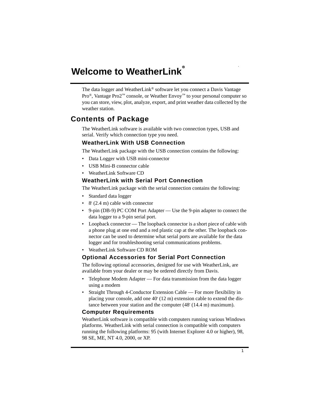## **Welcome to WeatherLink®**

The data logger and WeatherLink® software let you connect a Davis Vantage Pro®, Vantage Pro2™ console, or Weather Envoy™ to your personal computer so you can store, view, plot, analyze, export, and print weather data collected by the weather station.

## **Contents of Package**

The WeatherLink software is available with two connection types, USB and serial. Verify which connection type you need.

#### **WeatherLink With USB Connection**

The WeatherLink package with the USB connection contains the following:

- Data Logger with USB mini-connector
- USB Mini-B connector cable
- WeatherLink Software CD

#### **WeatherLink with Serial Port Connection**

The WeatherLink package with the serial connection contains the following:

- Standard data logger
- 8' (2.4 m) cable with connector
- 9-pin (DB-9) PC COM Port Adapter Use the 9-pin adapter to connect the data logger to a 9-pin serial port.
- Loopback connector The loopback connector is a short piece of cable with a phone plug at one end and a red plastic cap at the other. The loopback connector can be used to determine what serial ports are available for the data logger and for troubleshooting serial communications problems.
- WeatherLink Software CD ROM

#### **Optional Accessories for Serial Port Connection**

The following optional accessories, designed for use with WeatherLink, are available from your dealer or may be ordered directly from Davis.

- Telephone Modem Adapter For data transmission from the data logger using a modem
- Straight Through 4-Conductor Extension Cable For more flexibility in placing your console, add one 40' (12 m) extension cable to extend the distance between your station and the computer (48' (14.4 m) maximum).

#### **Computer Requirements**

WeatherLink software is compatible with computers running various Windows platforms. WeatherLink with serial connection is compatible with computers running the following platforms: 95 (with Internet Explorer 4.0 or higher), 98, 98 SE, ME, NT 4.0, 2000, or XP.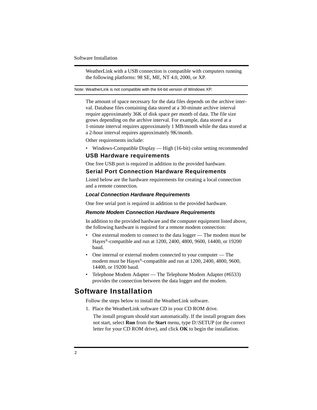Software Installation

WeatherLink with a USB connection is compatible with computers running the following platforms: 98 SE, ME, NT 4.0, 2000, or XP.

#### Note: WeatherLink is not compatible with the 64-bit version of Windows XP.

The amount of space necessary for the data files depends on the archive interval. Database files containing data stored at a 30-minute archive interval require approximately 36K of disk space per month of data. The file size grows depending on the archive interval. For example, data stored at a 1-minute interval requires approximately 1 MB/month while the data stored at a 2-hour interval requires approximately 9K/month.

Other requirements include:

• Windows-Compatible Display — High (16-bit) color setting recommended

#### **USB Hardware requirements**

One free USB port is required in addition to the provided hardware.

### **Serial Port Connection Hardware Requirements**

Listed below are the hardware requirements for creating a local connection and a remote connection.

#### *Local Connection Hardware Requirements*

One free serial port is required in addition to the provided hardware.

#### *Remote Modem Connection Hardware Requirements*

In addition to the provided hardware and the computer equipment listed above, the following hardware is required for a remote modem connection:

- One external modem to connect to the data logger The modem must be Hayes®-compatible and run at 1200, 2400, 4800, 9600, 14400, or 19200 baud.
- One internal or external modem connected to your computer The modem must be Hayes®-compatible and run at 1200, 2400, 4800, 9600, 14400, or 19200 baud.
- Telephone Modem Adapter The Telephone Modem Adapter (#6533) provides the connection between the data logger and the modem.

## **Software Installation**

Follow the steps below to install the WeatherLink software.

1. Place the WeatherLink software CD in your CD ROM drive.

The install program should start automatically. If the install program does not start, select **Run** from the **Start** menu, type D:\SETUP (or the correct letter for your CD ROM drive), and click **OK** to begin the installation.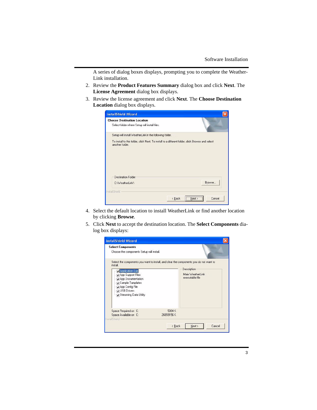A series of dialog boxes displays, prompting you to complete the Weather-Link installation.

- 2. Review the **Product Features Summary** dialog box and click **Next**. The **License Agreement** dialog box displays.
- 3. Review the license agreement and click **Next**. The **Choose Destination Location** dialog box displays.

| <b>Choose Destination Location</b><br>Select folder where Setup will install files. |                                                                                                  |        |
|-------------------------------------------------------------------------------------|--------------------------------------------------------------------------------------------------|--------|
|                                                                                     |                                                                                                  |        |
| Setup will install WeatherLink in the following folder.                             |                                                                                                  |        |
| another folder.                                                                     | To install to this folder, click Next, To install to a different folder, click Browse and select |        |
|                                                                                     |                                                                                                  |        |
|                                                                                     |                                                                                                  |        |
|                                                                                     |                                                                                                  |        |
|                                                                                     |                                                                                                  |        |
|                                                                                     |                                                                                                  |        |
| <b>Destination Folder</b>                                                           |                                                                                                  |        |
| C:\WeatherLink\                                                                     |                                                                                                  | Browse |
| InstallShield                                                                       |                                                                                                  |        |

- 4. Select the default location to install WeatherLink or find another location by clicking **Browse**.
- 5. Click **Next** to accept the destination location. The **Select Components** dialog box displays:

| <b>Select Components</b><br>Choose the components Setup will install.                                                                                 |                                                                                                                                               |  |
|-------------------------------------------------------------------------------------------------------------------------------------------------------|-----------------------------------------------------------------------------------------------------------------------------------------------|--|
| install.<br>Application Exe<br>App Support Files<br>App Documentation<br>Sample Tamplates<br>App Config File<br>USB Drivers<br>Streaming Data Utility | Select the components you want to install, and clear the components you do not want to<br>Description<br>Main Weatherl ink<br>executable file |  |
| Space Required on C:<br>Space Available on C:<br>nstallShield                                                                                         | 5084 K<br>26859156K                                                                                                                           |  |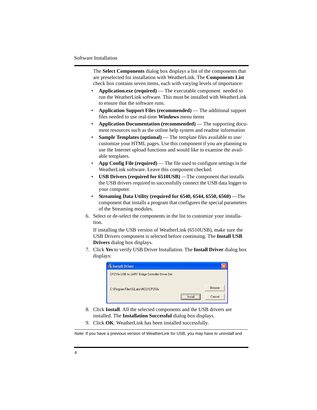#### Software Installation

The **Select Components** dialog box displays a list of the components that are preselected for installation with WeatherLink. The **Components List** check box contains seven items, each with varying levels of importance:

- **Application.exe (required)** The executable component needed to run the WeatherLink software. This must be installed with WeatherLink to ensure that the software runs.
- **Application Support Files (recommended)** The additional support files needed to use real-time **Windows** menu items
- **Application Documentation (recommended)** The supporting document resources such as the online help system and readme information
- **Sample Templates (optional)** The template files available to use/ customize your HTML pages. Use this component if you are planning to use the Internet upload functions and would like to examine the available templates.
- **App Config File (required)** The file used to configure settings in the WeatherLink software. Leave this component checked.
- **USB Drivers (required for 6510USB)** —The component that installs the USB drivers required to successfully connect the USB data logger to your computer.
- **Streaming Data Utility (required for 6540, 6544, 6550, 6560)** —The component that installs a program that configures the special parameters of the Streaming modules.
- 6. Select or de-select the components in the list to customize your installation.

If installing the USB version of WeatherLink (6510USB), make sure the USB Drivers component is selected before continuing. The **Install USB Drivers** dialog box displays.

7. Click **Yes** to verify USB Driver Installation. The **Install Driver** dialog box displays:



- 8. Click **Install**. All the selected components and the USB drivers are installed. The **Installation Successful** dialog box displays.
- 9. Click **OK**. WeatherLink has been installed successfully.

Note: If you have a previous version of WeatherLink for USB, you may have to uninstall and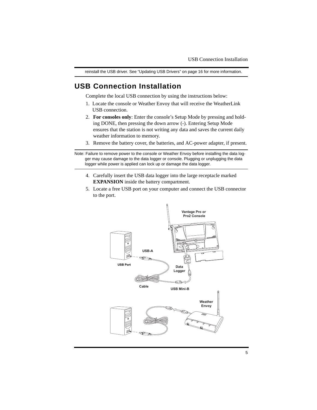reinstall the USB driver. See "Updating USB Drivers" on page 16 for more information.

## **USB Connection Installation**

Complete the local USB connection by using the instructions below:

- 1. Locate the console or Weather Envoy that will receive the WeatherLink USB connection.
- 2. **For consoles only**: Enter the console's Setup Mode by pressing and holding DONE, then pressing the down arrow (-). Entering Setup Mode ensures that the station is not writing any data and saves the current daily weather information to memory.
- 3. Remove the battery cover, the batteries, and AC-power adapter, if present.

Note: Failure to remove power to the console or Weather Envoy before installing the data logger may cause damage to the data logger or console. Plugging or unplugging the data logger while power is applied can lock up or damage the data logger.

- 4. Carefully insert the USB data logger into the large receptacle marked **EXPANSION** inside the battery compartment.
- 5. Locate a free USB port on your computer and connect the USB connector to the port.

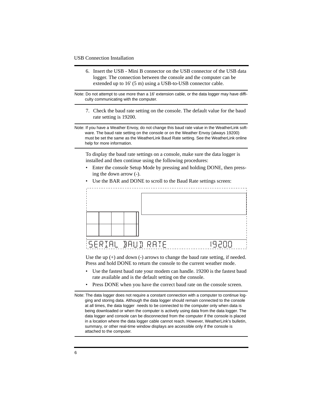#### USB Connection Installation

6. Insert the USB - Mini B connector on the USB connector of the USB data logger. The connection between the console and the computer can be extended up to 16' (5 m) using a USB-to-USB connector cable.

Note: Do not attempt to use more than a 16' extension cable, or the data logger may have difficulty communicating with the computer.

7. Check the baud rate setting on the console. The default value for the baud rate setting is 19200.

Note: If you have a Weather Envoy, do not change this baud rate value in the WeatherLink software. The baud rate setting on the console or on the Weather Envoy (always 19200) must be set the same as the WeatherLink Baud Rate setting. See the WeatherLink online help for more information.

To display the baud rate settings on a console, make sure the data logger is installed and then continue using the following procedures:

- Enter the console Setup Mode by pressing and holding DONE, then pressing the down arrow (-).
- Use the BAR and DONE to scroll to the Baud Rate settings screen:



Use the up (+) and down (-) arrows to change the baud rate setting, if needed. Press and hold DONE to return the console to the current weather mode.

- Use the fastest baud rate your modem can handle. 19200 is the fastest baud rate available and is the default setting on the console.
- Press DONE when you have the correct baud rate on the console screen.

Note: The data logger does not require a constant connection with a computer to continue logging and storing data. Although the data logger should remain connected to the console at all times, the data logger needs to be connected to the computer only when data is being downloaded or when the computer is actively using data from the data logger. The data logger and console can be disconnected from the computer if the console is placed in a location where the data logger cable cannot reach. However, WeatherLink's bulletin, summary, or other real-time window displays are accessible only if the console is attached to the computer.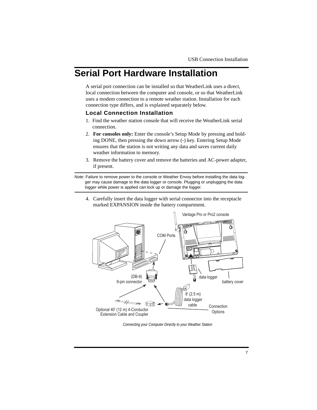## **Serial Port Hardware Installation**

A serial port connection can be installed so that WeatherLink uses a direct, local connection between the computer and console, or so that WeatherLink uses a modem connection to a remote weather station. Installation for each connection type differs, and is explained separately below.

#### **Local Connection Installation**

- 1. Find the weather station console that will receive the WeatherLink serial connection.
- 2. **For consoles only:** Enter the console's Setup Mode by pressing and holding DONE, then pressing the down arrow (-) key. Entering Setup Mode ensures that the station is not writing any data and saves current daily weather information to memory.
- 3. Remove the battery cover and remove the batteries and AC-power adapter, if present.

Note: Failure to remove power to the console or Weather Envoy before installing the data logger may cause damage to the data logger or console. Plugging or unplugging the data logger while power is applied can lock up or damage the logger.

4. Carefully insert the data logger with serial connector into the receptacle marked EXPANSION inside the battery compartment.



*Connecting your Computer Directly to your Weather Station*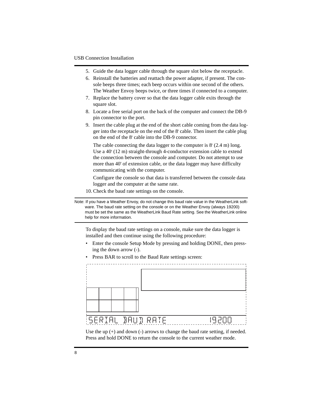#### USB Connection Installation

- 5. Guide the data logger cable through the square slot below the receptacle.
- 6. Reinstall the batteries and reattach the power adapter, if present. The console beeps three times; each beep occurs within one second of the others. The Weather Envoy beeps twice, or three times if connected to a computer.
- 7. Replace the battery cover so that the data logger cable exits through the square slot.
- 8. Locate a free serial port on the back of the computer and connect the DB-9 pin connector to the port.
- 9. Insert the cable plug at the end of the short cable coming from the data logger into the receptacle on the end of the 8' cable. Then insert the cable plug on the end of the 8' cable into the DB-9 connector.

The cable connecting the data logger to the computer is 8' (2.4 m) long. Use a 40' (12 m) straight-through 4-conductor extension cable to extend the connection between the console and computer. Do not attempt to use more than 40' of extension cable, or the data logger may have difficulty communicating with the computer.

Configure the console so that data is transferred between the console data logger and the computer at the same rate.

10. Check the baud rate settings on the console.

Note: If you have a Weather Envoy, do not change this baud rate value in the WeatherLink software. The baud rate setting on the console or on the Weather Envoy (always 19200) must be set the same as the WeatherLink Baud Rate setting. See the WeatherLink online help for more information.

To display the baud rate settings on a console, make sure the data logger is installed and then continue using the following procedure:

- Enter the console Setup Mode by pressing and holding DONE, then pressing the down arrow (-).
- Press BAR to scroll to the Baud Rate settings screen:



Use the up  $(+)$  and down  $(-)$  arrows to change the baud rate setting, if needed. Press and hold DONE to return the console to the current weather mode.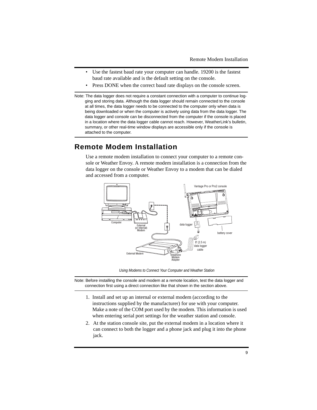- Use the fastest baud rate your computer can handle. 19200 is the fastest baud rate available and is the default setting on the console.
- Press DONE when the correct baud rate displays on the console screen.

Note: The data logger does not require a constant connection with a computer to continue logging and storing data. Although the data logger should remain connected to the console at all times, the data logger needs to be connected to the computer only when data is being downloaded or when the computer is actively using data from the data logger. The data logger and console can be disconnected from the computer if the console is placed in a location where the data logger cable cannot reach. However, WeatherLink's bulletin, summary, or other real-time window displays are accessible only if the console is attached to the computer.

## **Remote Modem Installation**

Use a remote modem installation to connect your computer to a remote console or Weather Envoy. A remote modem installation is a connection from the data logger on the console or Weather Envoy to a modem that can be dialed and accessed from a computer.



*Using Modems to Connect Your Computer and Weather Station*

Note: Before installing the console and modem at a remote location, test the data logger and connection first using a direct connection like that shown in the section above.

- 1. Install and set up an internal or external modem (according to the instructions supplied by the manufacturer) for use with your computer. Make a note of the COM port used by the modem. This information is used when entering serial port settings for the weather station and console.
- 2. At the station console site, put the external modem in a location where it can connect to both the logger and a phone jack and plug it into the phone jack.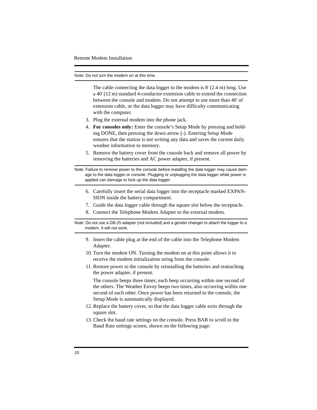Note: Do not turn the modem on at this time.

The cable connecting the data logger to the modem is 8' (2.4 m) long. Use a 40' (12 m) standard 4-conductor extension cable to extend the connection between the console and modem. Do not attempt to use more than 40' of extension cable, or the data logger may have difficulty communicating with the computer.

- 3. Plug the external modem into the phone jack.
- 4. **For consoles only:** Enter the console's Setup Mode by pressing and holding DONE, then pressing the down arrow (-). Entering Setup Mode ensures that the station is not writing any data and saves the current daily weather information to memory.
- 5. Remove the battery cover from the console back and remove all power by removing the batteries and AC power adapter, if present.

Note: Failure to remove power to the console before installing the data logger may cause damage to the data logger or console. Plugging or unplugging the data logger while power is applied can damage or lock up the data logger.

- 6. Carefully insert the serial data logger into the receptacle marked EXPAN-SION inside the battery compartment.
- 7. Guide the data logger cable through the square slot below the receptacle.
- 8. Connect the Telephone Modem Adapter to the external modem.

Note: Do not use a DB-25 adapter (not included) and a gender changer to attach the logger to a modem. It will not work.

- 9. Insert the cable plug at the end of the cable into the Telephone Modem Adapter.
- 10. Turn the modem ON. Turning the modem on at this point allows it to receive the modem initialization string from the console.
- 11. Restore power to the console by reinstalling the batteries and reattaching the power adapter, if present.

The console beeps three times; each beep occurring within one second of the others. The Weather Envoy beeps two times, also occurring within one second of each other. Once power has been returned to the console, the Setup Mode is automatically displayed.

- 12. Replace the battery cover, so that the data logger cable exits through the square slot.
- 13. Check the baud rate settings on the console. Press BAR to scroll to the Baud Rate settings screen, shown on the following page: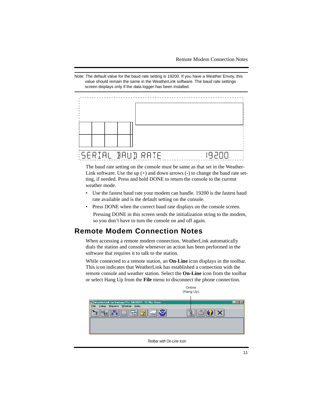Note: The default value for the baud rate setting is 19200. If you have a Weather Envoy, this value should remain the same in the WeatherLink software. The baud rate settings screen displays only if the data logger has been installed.



The baud rate setting on the console must be same as that set in the Weather-Link software. Use the up  $(+)$  and down arrows  $(-)$  to change the baud rate setting, if needed. Press and hold DONE to return the console to the current weather mode.

- Use the fastest baud rate your modem can handle. 19200 is the fastest baud rate available and is the default setting on the console.
- Press DONE when the correct baud rate displays on the console screen.

Pressing DONE in this screen sends the initialization string to the modem, so you don't have to turn the console on and off again.

## **Remote Modem Connection Notes**

When accessing a remote modem connection, WeatherLink automatically dials the station and console whenever an action has been performed in the software that requires it to talk to the station.

While connected to a remote station, an **On-Line** icon displays in the toolbar. This icon indicates that WeatherLink has established a connection with the remote console and weather station. Select the **On-Line** icon from the toolbar or select Hang Up from the **File** menu to disconnect the phone connection.



*Toolbar with On-Line Icon*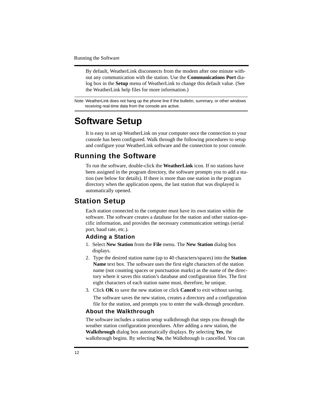Running the Software

By default, WeatherLink disconnects from the modem after one minute without any communication with the station. Use the **Communications Port** dialog box in the **Setup** menu of WeatherLink to change this default value. (See the WeatherLink help files for more information.)

Note: WeatherLink does not hang up the phone line if the bulletin, summary, or other windows receiving real-time data from the console are active.

## **Software Setup**

It is easy to set up WeatherLink on your computer once the connection to your console has been configured. Walk through the following procedures to setup and configure your WeatherLink software and the connection to your console.

## **Running the Software**

To run the software, double-click the **WeatherLink** icon. If no stations have been assigned in the program directory, the software prompts you to add a station (see below for details). If there is more than one station in the program directory when the application opens, the last station that was displayed is automatically opened.

## **Station Setup**

Each station connected to the computer must have its own station within the software. The software creates a database for the station and other station-specific information, and provides the necessary communication settings (serial port, baud rate, etc.).

#### **Adding a Station**

- 1. Select **New Station** from the **File** menu. The **New Station** dialog box displays.
- 2. Type the desired station name (up to 40 characters/spaces) into the **Station Name** text box. The software uses the first eight characters of the station name (not counting spaces or punctuation marks) as the name of the directory where it saves this station's database and configuration files. The first eight characters of each station name must, therefore, be unique.
- 3. Click **OK** to save the new station or click **Cancel** to exit without saving.

The software saves the new station, creates a directory and a configuration file for the station, and prompts you to enter the walk-through procedure.

#### **About the Walkthrough**

The software includes a station setup walkthrough that steps you through the weather station configuration procedures. After adding a new station, the **Walkthrough** dialog box automatically displays. By selecting **Yes**, the walkthrough begins. By selecting **No**, the Walkthrough is cancelled. You can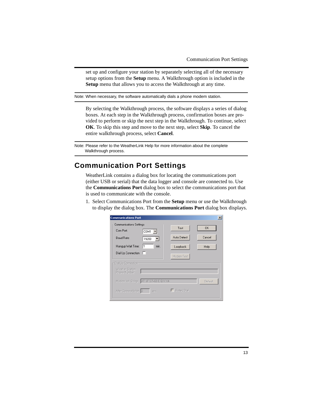set up and configure your station by separately selecting all of the necessary setup options from the **Setup** menu. A Walkthrough option is included in the **Setup** menu that allows you to access the Walkthrough at any time.

Note: When necessary, the software automatically dials a phone modem station.

By selecting the Walkthrough process, the software displays a series of dialog boxes. At each step in the Walkthrough process, confirmation boxes are provided to perform or skip the next step in the Walkthrough. To continue, select **OK**. To skip this step and move to the next step, select **Skip**. To cancel the entire walkthrough process, select **Cancel**.

Note: Please refer to the WeatherLink Help for more information about the complete Walkthrough process.

## **Communication Port Settings**

WeatherLink contains a dialog box for locating the communications port (either USB or serial) that the data logger and console are connected to. Use the **Communications Port** dialog box to select the communications port that is used to communicate with the console.

1. Select Communications Port from the **Setup** menu or use the Walkthrough to display the dialog box. The **Communications Port** dialog box displays.

| <b>Communications Port</b>                                                                                                                    |                                 | ×                           |
|-----------------------------------------------------------------------------------------------------------------------------------------------|---------------------------------|-----------------------------|
| Communications Settings<br>Com Port:<br>COM1<br>Baud Rate:<br>19200<br>Hangup Wait Time:<br>min.<br>11<br>Dial Up Connection                  | Test<br>Auto Detect<br>Loopback | <b>OK</b><br>Cancel<br>Help |
| Dial Up Connection-<br>Weather Station<br>Phone Number<br>AT &F S7=60 E Q V $\times$ 4<br>Modem Init, String;<br>After Connect Wait: 2<br>sec | Modem Test<br>F Rotary Dial     | Default                     |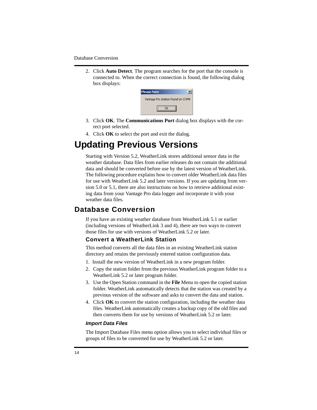Database Conversion

2. Click **Auto Detect**. The program searches for the port that the console is connected to. When the correct connection is found, the following dialog box displays:



- 3. Click **OK**. The **Communications Port** dialog box displays with the correct port selected.
- 4. Click **OK** to select the port and exit the dialog.

## **Updating Previous Versions**

Starting with Version 5.2, WeatherLink stores additional sensor data in the weather database. Data files from earlier releases do not contain the additional data and should be converted before use by the latest version of WeatherLink. The following procedure explains how to convert older WeatherLink data files for use with WeatherLink 5.2 and later versions. If you are updating from version 5.0 or 5.1, there are also instructions on how to retrieve additional existing data from your Vantage Pro data logger and incorporate it with your weather data files.

## **Database Conversion**

If you have an existing weather database from WeatherLink 5.1 or earlier (including versions of WeatherLink 3 and 4), there are two ways to convert those files for use with versions of WeatherLink 5.2 or later.

#### **Convert a WeatherLink Station**

This method converts all the data files in an existing WeatherLink station directory and retains the previously entered station configuration data.

- 1. Install the new version of WeatherLink in a new program folder.
- 2. Copy the station folder from the previous WeatherLink program folder to a WeatherLink 5.2 or later program folder.
- 3. Use the Open Station command in the **File** Menu to open the copied station folder. WeatherLink automatically detects that the station was created by a previous version of the software and asks to convert the data and station.
- 4. Click **OK** to convert the station configuration, including the weather data files. WeatherLink automatically creates a backup copy of the old files and then converts them for use by versions of WeatherLink 5.2 or later.

#### *Import Data Files*

The Import Database Files menu option allows you to select individual files or groups of files to be converted for use by WeatherLink 5.2 or later.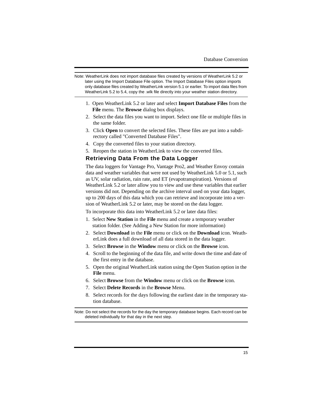Note: WeatherLink does not import database files created by versions of WeatherLink 5.2 or later using the Import Database File option. The Import Database Files option imports only database files created by WeatherLink version 5.1 or earlier. To import data files from WeatherLink 5.2 to 5.4, copy the .wlk file directly into your weather station directory.

- 1. Open WeatherLink 5.2 or later and select **Import Database Files** from the **File** menu. The **Browse** dialog box displays.
- 2. Select the data files you want to import. Select one file or multiple files in the same folder.
- 3. Click **Open** to convert the selected files. These files are put into a subdirectory called "Converted Database Files".
- 4. Copy the converted files to your station directory.
- 5. Reopen the station in WeatherLink to view the converted files.

#### **Retrieving Data From the Data Logger**

The data loggers for Vantage Pro, Vantage Pro2, and Weather Envoy contain data and weather variables that were not used by WeatherLink 5.0 or 5.1, such as UV, solar radiation, rain rate, and ET (evapotranspiration). Versions of WeatherLink 5.2 or later allow you to view and use these variables that earlier versions did not. Depending on the archive interval used on your data logger, up to 200 days of this data which you can retrieve and incorporate into a version of WeatherLink 5.2 or later, may be stored on the data logger.

To incorporate this data into WeatherLink 5.2 or later data files:

- 1. Select **New Station** in the **File** menu and create a temporary weather station folder. (See Adding a New Station for more information)
- 2. Select **Download** in the **File** menu or click on the **Download** icon. WeatherLink does a full download of all data stored in the data logger.
- 3. Select **Browse** in the **Window** menu or click on the **Browse** icon.
- 4. Scroll to the beginning of the data file, and write down the time and date of the first entry in the database.
- 5. Open the original WeatherLink station using the Open Station option in the **File** menu.
- 6. Select **Browse** from the **Window** menu or click on the **Browse** icon.
- 7. Select **Delete Records** in the **Browse** Menu.
- 8. Select records for the days following the earliest date in the temporary station database.

Note: Do not select the records for the day the temporary database begins. Each record can be deleted individually for that day in the next step.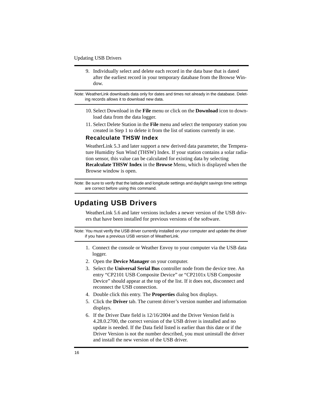#### Updating USB Drivers

9. Individually select and delete each record in the data base that is dated after the earliest record in your temporary database from the Browse Window.

Note: WeatherLink downloads data only for dates and times not already in the database. Deleting records allows it to download new data.

- 10. Select Download in the **File** menu or click on the **Download** icon to download data from the data logger.
- 11. Select Delete Station in the **File** menu and select the temporary station you created in Step 1 to delete it from the list of stations currently in use.

#### **Recalculate THSW Index**

WeatherLink 5.3 and later support a new derived data parameter, the Temperature Humidity Sun Wind (THSW) Index. If your station contains a solar radiation sensor, this value can be calculated for existing data by selecting **Recalculate THSW Index** in the **Browse** Menu, which is displayed when the Browse window is open.

Note: Be sure to verify that the latitude and longitude settings and daylight savings time settings are correct before using this command.

## **Updating USB Drivers**

WeatherLink 5.6 and later versions includes a newer version of the USB drivers that have been installed for previous versions of the software.

Note: You must verify the USB driver currently installed on your computer and update the driver if you have a previous USB version of WeatherLink.

- 1. Connect the console or Weather Envoy to your computer via the USB data logger.
- 2. Open the **Device Manager** on your computer.
- 3. Select the **Universal Serial Bus** controller node from the device tree. An entry "CP2101 USB Composite Device" or "CP2101x USB Composite Device" should appear at the top of the list. If it does not, disconnect and reconnect the USB connection.
- 4. Double click this entry. The **Properties** dialog box displays.
- 5. Click the **Driver** tab. The current driver's version number and information displays.
- 6. If the Driver Date field is 12/16/2004 and the Driver Version field is 4.28.0.2700, the correct version of the USB driver is installed and no update is needed. If the Data field listed is earlier than this date or if the Driver Version is not the number described, you must uninstall the driver and install the new version of the USB driver.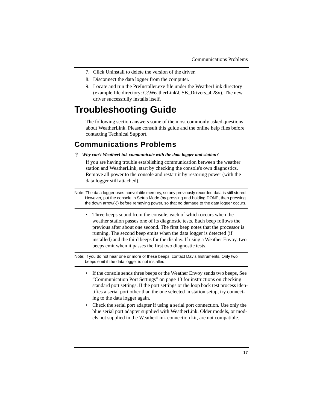- 7. Click Uninstall to delete the version of the driver.
- 8. Disconnect the data logger from the computer.
- 9. Locate and run the PreInstaller.exe file under the WeatherLink directory (example file directory: C:\WeatherLink\USB\_Drivers\_4.28x). The new driver successfully installs itself.

## **Troubleshooting Guide**

The following section answers some of the most commonly asked questions about WeatherLink. Please consult this guide and the online help files before contacting Technical Support.

## **Communications Problems**

V *Why can't WeatherLink communicate with the data logger and station?*

If you are having trouble establishing communication between the weather station and WeatherLink, start by checking the console's own diagnostics. Remove all power to the console and restart it by restoring power (with the data logger still attached).

Note: The data logger uses nonvolatile memory, so any previously recorded data is still stored. However, put the console in Setup Mode (by pressing and holding DONE, then pressing the down arrow(-)) before removing power, so that no damage to the data logger occurs.

• Three beeps sound from the console, each of which occurs when the weather station passes one of its diagnostic tests. Each beep follows the previous after about one second. The first beep notes that the processor is running. The second beep emits when the data logger is detected (if installed) and the third beeps for the display. If using a Weather Envoy, two beeps emit when it passes the first two diagnostic tests.

Note: If you do not hear one or more of these beeps, contact Davis Instruments. Only two beeps emit if the data logger is not installed.

- If the console sends three beeps or the Weather Envoy sends two beeps, See "Communication Port Settings" on page 13 for instructions on checking standard port settings. If the port settings or the loop back test process identifies a serial port other than the one selected in station setup, try connecting to the data logger again.
- Check the serial port adapter if using a serial port connection. Use only the blue serial port adapter supplied with WeatherLink. Older models, or models not supplied in the WeatherLink connection kit, are not compatible.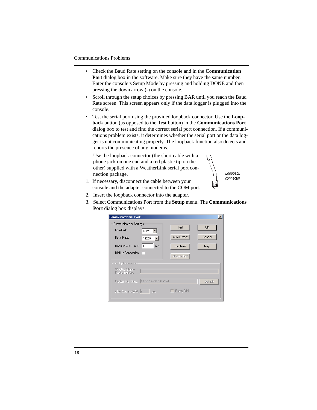Communications Problems

- Check the Baud Rate setting on the console and in the **Communication Port** dialog box in the software. Make sure they have the same number. Enter the console's Setup Mode by pressing and holding DONE and then pressing the down arrow (-) on the console.
- Scroll through the setup choices by pressing BAR until you reach the Baud Rate screen. This screen appears only if the data logger is plugged into the console.
- Test the serial port using the provided loopback connector. Use the **Loopback** button (as opposed to the **Test** button) in the **Communications Port** dialog box to test and find the correct serial port connection. If a communications problem exists, it determines whether the serial port or the data logger is not communicating properly. The loopback function also detects and reports the presence of any modems.

Use the loopback connector (the short cable with a phone jack on one end and a red plastic tip on the other) supplied with a WeatherLink serial port connection package.



- 1. If necessary, disconnect the cable between your console and the adapter connected to the COM port.
- 2. Insert the loopback connector into the adapter.
- 3. Select Communications Port from the **Setup** menu. The **Communications Port** dialog box displays.

| <b>Communications Port</b>                                                                                                 |                        | $\times$            |
|----------------------------------------------------------------------------------------------------------------------------|------------------------|---------------------|
| Communications Settings<br>Com Port:<br>COM1<br>Baud Rate:<br>19200                                                        | Test<br>Auto Detect    | <b>OK</b><br>Cancel |
| min.<br>l1<br>Hangup Wait Time:<br>Dial Up Connection<br>ш                                                                 | Loopback<br>Modem Test | Help                |
| Dial Up Connection<br>Weather Station<br>Phone Number<br>Modem Init. String: AT &F S7=60 E Q V X4<br>After Connect Wait: 2 | Rotary Dial            | Default             |
| sec                                                                                                                        |                        |                     |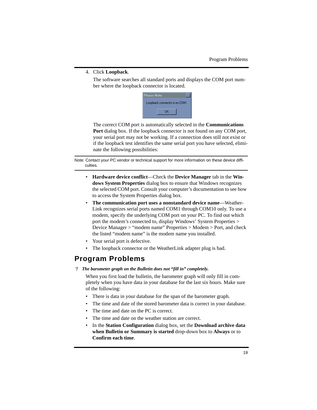4. Click **Loopback**.

The software searches all standard ports and displays the COM port number where the loopback connector is located.



The correct COM port is automatically selected in the **Communications Port** dialog box. If the loopback connector is not found on any COM port, your serial port may not be working. If a connection does still not exist or if the loopback test identifies the same serial port you have selected, eliminate the following possibilities:

Note: Contact your PC vendor or technical support for more information on these device difficulties.

- **Hardware device conflict**—Check the **Device Manager** tab in the **Windows System Properties** dialog box to ensure that Windows recognizes the selected COM port. Consult your computer's documentation to see how to access the System Properties dialog box.
- **The communication port uses a nonstandard device name**—Weather-Link recognizes serial ports named COM1 through COM10 only. To use a modem, specify the underlying COM port on your PC. To find out which port the modem's connected to, display Windows' System Properties > Device Manager > "modem name" Properties > Modem > Port, and check the listed "modem name" is the modem name you installed.
- Your serial port is defective.
- The loopback connector or the WeatherLink adapter plug is bad.

## **Program Problems**

V *The barometer graph on the Bulletin does not "fill in" completely.* 

When you first load the bulletin, the barometer graph will only fill in completely when you have data in your database for the last six hours. Make sure of the following:

- There is data in your database for the span of the barometer graph.
- The time and date of the stored barometer data is correct in your database.
- The time and date on the PC is correct.
- The time and date on the weather station are correct.
- In the **Station Configuration** dialog box, set the **Download archive data when Bulletin or Summary is started** drop-down box to **Always** or to **Confirm each time**.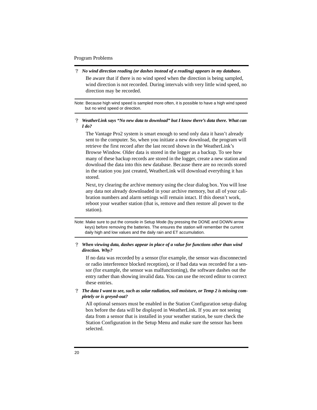Program Problems

V *No wind direction reading (or dashes instead of a reading) appears in my database.* Be aware that if there is no wind speed when the direction is being sampled, wind direction is not recorded. During intervals with very little wind speed, no direction may be recorded.

Note: Because high wind speed is sampled more often, it is possible to have a high wind speed but no wind speed or direction.

V *WeatherLink says "No new data to download" but I know there's data there. What can I do?*

The Vantage Pro2 system is smart enough to send only data it hasn't already sent to the computer. So, when you initiate a new download, the program will retrieve the first record after the last record shown in the WeatherLink's Browse Window. Older data is stored in the logger as a backup. To see how many of these backup records are stored in the logger, create a new station and download the data into this new database. Because there are no records stored in the station you just created, WeatherLink will download everything it has stored.

Next, try clearing the archive memory using the clear dialog box. You will lose any data not already downloaded in your archive memory, but all of your calibration numbers and alarm settings will remain intact. If this doesn't work, reboot your weather station (that is, remove and then restore all power to the station).

Note: Make sure to put the console in Setup Mode (by pressing the DONE and DOWN arrow keys) before removing the batteries. The ensures the station will remember the current daily high and low values and the daily rain and ET accumulation.

#### V *When viewing data, dashes appear in place of a value for functions other than wind direction. Why?*

If no data was recorded by a sensor (for example, the sensor was disconnected or radio interference blocked reception), or if bad data was recorded for a sensor (for example, the sensor was malfunctioning), the software dashes out the entry rather than showing invalid data. You can use the record editor to correct these entries.

V *The data I want to see, such as solar radiation, soil moisture, or Temp 2 is missing completely or is greyed-out?*

All optional sensors must be enabled in the Station Configuration setup dialog box before the data will be displayed in WeatherLink. If you are not seeing data from a sensor that is installed in your weather station, be sure check the Station Configuration in the Setup Menu and make sure the sensor has been selected.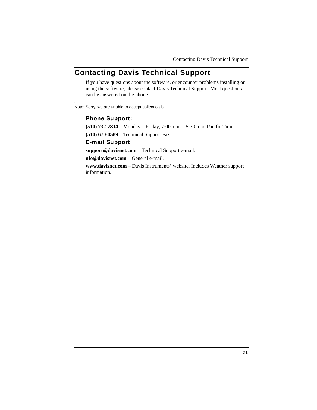Contacting Davis Technical Support

## **Contacting Davis Technical Support**

If you have questions about the software, or encounter problems installing or using the software, please contact Davis Technical Support. Most questions can be answered on the phone.

Note: Sorry, we are unable to accept collect calls.

### **Phone Support:**

**(510) 732-7814** – Monday – Friday, 7:00 a.m. – 5:30 p.m. Pacific Time.

**(510) 670-0589** – Technical Support Fax

#### **E-mail Support:**

**support@davisnet.com** – Technical Support e-mail.

**nfo@davisnet.com** – General e-mail.

**www.davisnet.com** – Davis Instruments' website. Includes Weather support information.